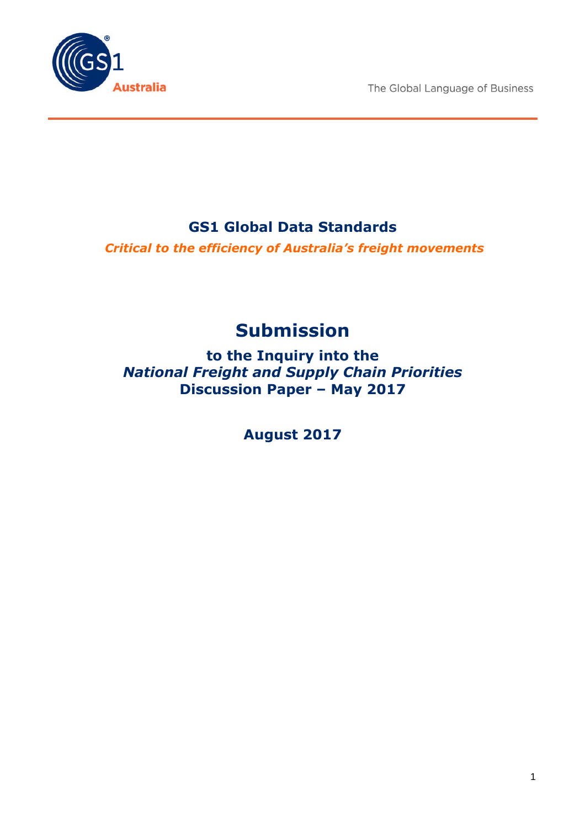The Global Language of Business



# **GS1 Global Data Standards**

*Critical to the efficiency of Australia's freight movements*

# **Submission**

**to the Inquiry into the** *National Freight and Supply Chain Priorities* **Discussion Paper – May 2017**

**August 2017**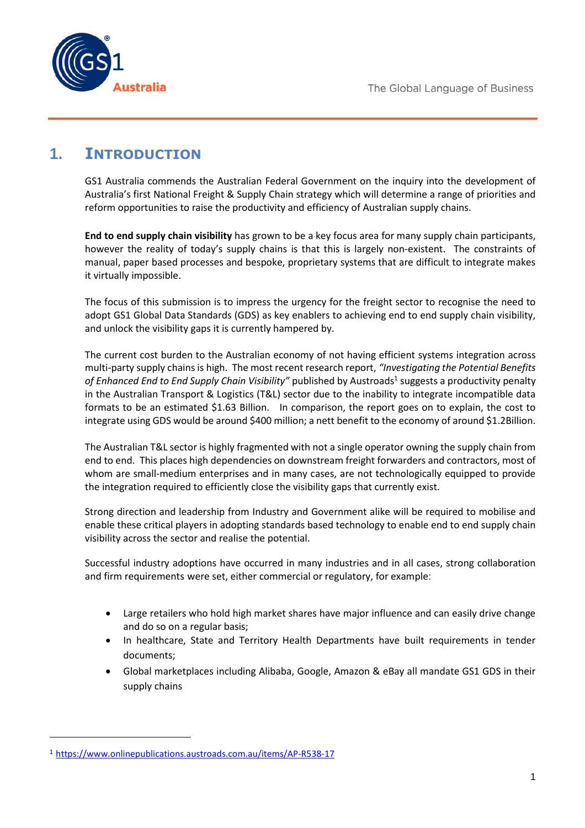

### **1. INTRODUCTION**

GS1 Australia commends the Australian Federal Government on the inquiry into the development of Australia's first National Freight & Supply Chain strategy which will determine a range of priorities and reform opportunities to raise the productivity and efficiency of Australian supply chains.

**End to end supply chain visibility** has grown to be a key focus area for many supply chain participants, however the reality of today's supply chains is that this is largely non-existent. The constraints of manual, paper based processes and bespoke, proprietary systems that are difficult to integrate makes it virtually impossible.

The focus of this submission is to impress the urgency for the freight sector to recognise the need to adopt GS1 Global Data Standards (GDS) as key enablers to achieving end to end supply chain visibility, and unlock the visibility gaps it is currently hampered by.

The current cost burden to the Australian economy of not having efficient systems integration across multi-party supply chains is high. The most recent research report, *"Investigating the Potential Benefits* of Enhanced End to End Supply Chain Visibility" published by Austroads<sup>1</sup> suggests a productivity penalty in the Australian Transport & Logistics (T&L) sector due to the inability to integrate incompatible data formats to be an estimated \$1.63 Billion. In comparison, the report goes on to explain, the cost to integrate using GDS would be around \$400 million; a nett benefit to the economy of around \$1.2Billion.

The Australian T&L sector is highly fragmented with not a single operator owning the supply chain from end to end. This places high dependencies on downstream freight forwarders and contractors, most of whom are small-medium enterprises and in many cases, are not technologically equipped to provide the integration required to efficiently close the visibility gaps that currently exist.

Strong direction and leadership from Industry and Government alike will be required to mobilise and enable these critical players in adopting standards based technology to enable end to end supply chain visibility across the sector and realise the potential.

Successful industry adoptions have occurred in many industries and in all cases, strong collaboration and firm requirements were set, either commercial or regulatory, for example:

- Large retailers who hold high market shares have major influence and can easily drive change and do so on a regular basis;
- In healthcare, State and Territory Health Departments have built requirements in tender documents;
- Global marketplaces including Alibaba, Google, Amazon & eBay all mandate GS1 GDS in their supply chains

<sup>1</sup> https://www.onlinepublications.austroads.com.au/items/AP-R538-17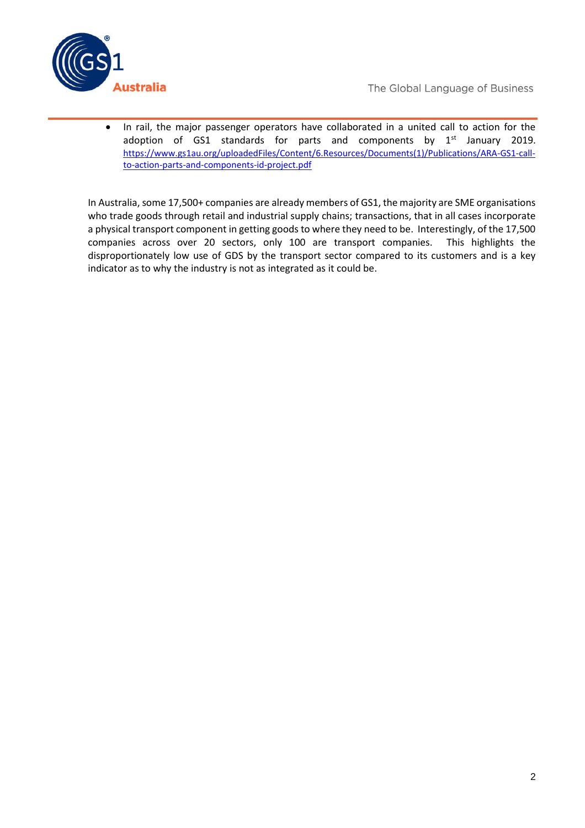

 In rail, the major passenger operators have collaborated in a united call to action for the adoption of GS1 standards for parts and components by  $1<sup>st</sup>$  January 2019. https://www.gs1au.org/uploadedFiles/Content/6.Resources/Documents(1)/Publications/ARA-GS1-callto-action-parts-and-components-id-project.pdf

In Australia, some 17,500+ companies are already members of GS1, the majority are SME organisations who trade goods through retail and industrial supply chains; transactions, that in all cases incorporate a physical transport component in getting goods to where they need to be. Interestingly, of the 17,500 companies across over 20 sectors, only 100 are transport companies. This highlights the disproportionately low use of GDS by the transport sector compared to its customers and is a key indicator as to why the industry is not as integrated as it could be.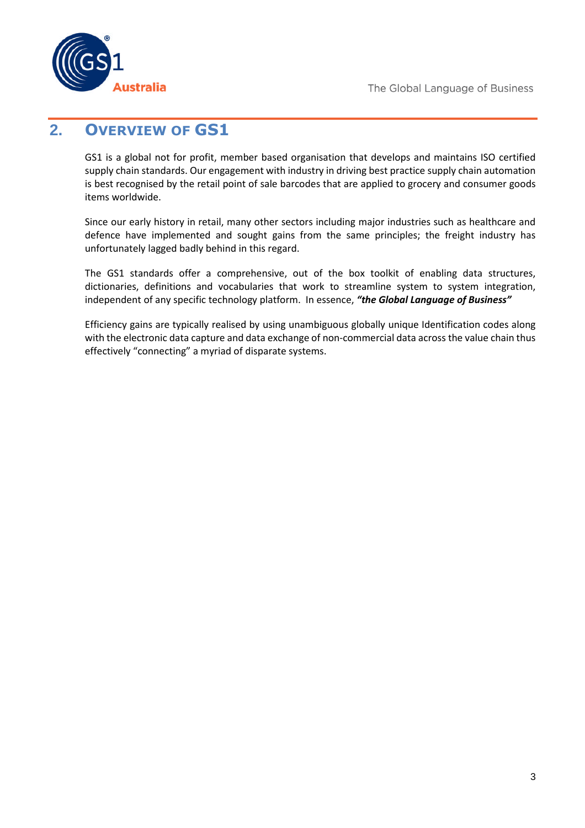

### **2. OVERVIEW OF GS1**

GS1 is a global not for profit, member based organisation that develops and maintains ISO certified supply chain standards. Our engagement with industry in driving best practice supply chain automation is best recognised by the retail point of sale barcodes that are applied to grocery and consumer goods items worldwide.

Since our early history in retail, many other sectors including major industries such as healthcare and defence have implemented and sought gains from the same principles; the freight industry has unfortunately lagged badly behind in this regard.

The GS1 standards offer a comprehensive, out of the box toolkit of enabling data structures, dictionaries, definitions and vocabularies that work to streamline system to system integration, independent of any specific technology platform. In essence, *"the Global Language of Business"*

Efficiency gains are typically realised by using unambiguous globally unique Identification codes along with the electronic data capture and data exchange of non-commercial data across the value chain thus effectively "connecting" a myriad of disparate systems.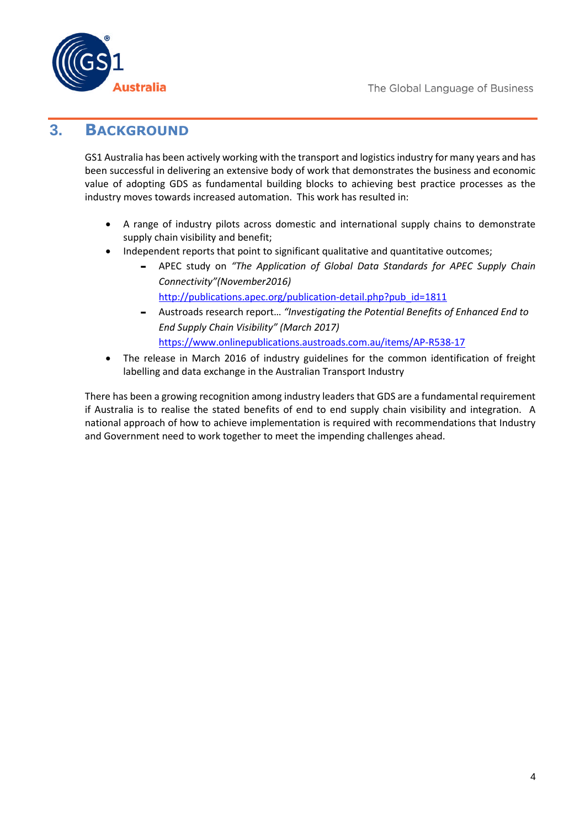

#### **3. BACKGROUND**

GS1 Australia has been actively working with the transport and logistics industry for many years and has been successful in delivering an extensive body of work that demonstrates the business and economic value of adopting GDS as fundamental building blocks to achieving best practice processes as the industry moves towards increased automation. This work has resulted in:

- A range of industry pilots across domestic and international supply chains to demonstrate supply chain visibility and benefit;
- Independent reports that point to significant qualitative and quantitative outcomes;
	- APEC study on *"The Application of Global Data Standards for APEC Supply Chain Connectivity"(November2016)* http://publications.apec.org/publication-detail.php?pub\_id=1811
	- Austroads research report… *"Investigating the Potential Benefits of Enhanced End to End Supply Chain Visibility" (March 2017)* https://www.onlinepublications.austroads.com.au/items/AP-R538-17
- The release in March 2016 of industry guidelines for the common identification of freight labelling and data exchange in the Australian Transport Industry

There has been a growing recognition among industry leaders that GDS are a fundamental requirement if Australia is to realise the stated benefits of end to end supply chain visibility and integration. A national approach of how to achieve implementation is required with recommendations that Industry and Government need to work together to meet the impending challenges ahead.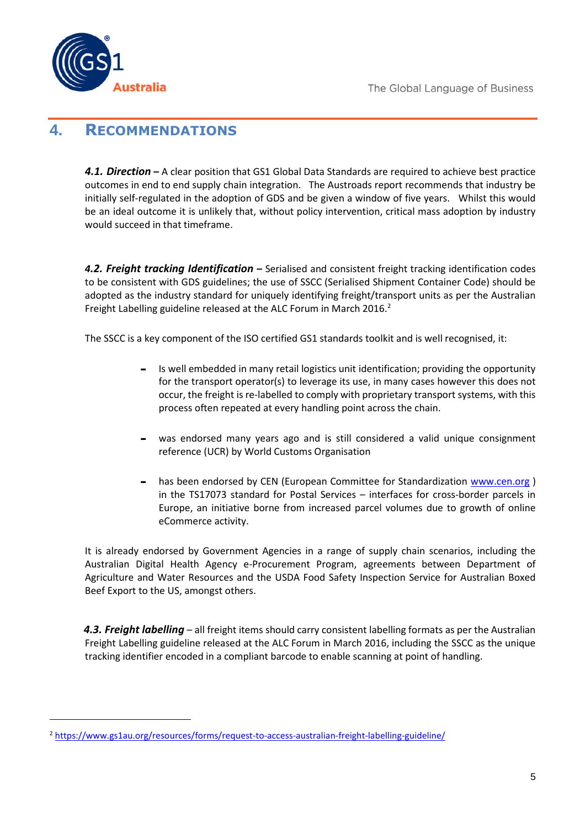

## **4. RECOMMENDATIONS**

*4.1. Direction* **–** A clear position that GS1 Global Data Standards are required to achieve best practice outcomes in end to end supply chain integration. The Austroads report recommends that industry be initially self-regulated in the adoption of GDS and be given a window of five years. Whilst this would be an ideal outcome it is unlikely that, without policy intervention, critical mass adoption by industry would succeed in that timeframe.

*4.2. Freight tracking Identification* **–** Serialised and consistent freight tracking identification codes to be consistent with GDS guidelines; the use of SSCC (Serialised Shipment Container Code) should be adopted as the industry standard for uniquely identifying freight/transport units as per the Australian Freight Labelling guideline released at the ALC Forum in March 2016.<sup>2</sup>

The SSCC is a key component of the ISO certified GS1 standards toolkit and is well recognised, it:

- Is well embedded in many retail logistics unit identification; providing the opportunity for the transport operator(s) to leverage its use, in many cases however this does not occur, the freight is re-labelled to comply with proprietary transport systems, with this process often repeated at every handling point across the chain.
- was endorsed many years ago and is still considered a valid unique consignment reference (UCR) by World Customs Organisation
- has been endorsed by CEN (European Committee for Standardization www.cen.org) in the TS17073 standard for Postal Services – interfaces for cross-border parcels in Europe, an initiative borne from increased parcel volumes due to growth of online eCommerce activity.

It is already endorsed by Government Agencies in a range of supply chain scenarios, including the Australian Digital Health Agency e-Procurement Program, agreements between Department of Agriculture and Water Resources and the USDA Food Safety Inspection Service for Australian Boxed Beef Export to the US, amongst others.

*4.3. Freight labelling* – all freight items should carry consistent labelling formats as per the Australian Freight Labelling guideline released at the ALC Forum in March 2016, including the SSCC as the unique tracking identifier encoded in a compliant barcode to enable scanning at point of handling.

<sup>&</sup>lt;sup>2</sup> https://www.gs1au.org/resources/forms/request-to-access-australian-freight-labelling-guideline/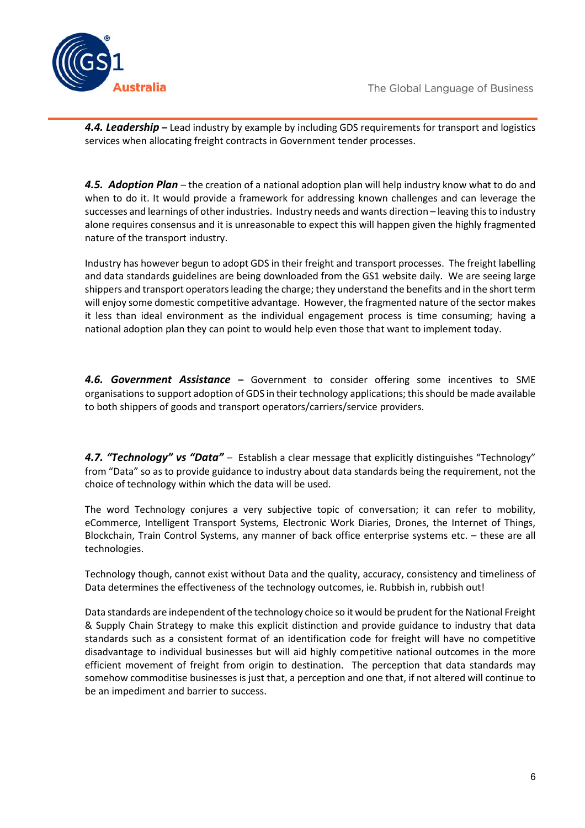

*4.4. Leadership* **–** Lead industry by example by including GDS requirements for transport and logistics services when allocating freight contracts in Government tender processes.

*4.5. Adoption Plan* – the creation of a national adoption plan will help industry know what to do and when to do it. It would provide a framework for addressing known challenges and can leverage the successes and learnings of other industries. Industry needs and wants direction – leaving this to industry alone requires consensus and it is unreasonable to expect this will happen given the highly fragmented nature of the transport industry.

Industry has however begun to adopt GDS in their freight and transport processes. The freight labelling and data standards guidelines are being downloaded from the GS1 website daily. We are seeing large shippers and transport operators leading the charge; they understand the benefits and in the short term will enjoy some domestic competitive advantage. However, the fragmented nature of the sector makes it less than ideal environment as the individual engagement process is time consuming; having a national adoption plan they can point to would help even those that want to implement today.

*4.6. Government Assistance* **–** Government to consider offering some incentives to SME organisations to support adoption of GDS in their technology applications; this should be made available to both shippers of goods and transport operators/carriers/service providers.

*4.7. "Technology" vs "Data"* – Establish a clear message that explicitly distinguishes "Technology" from "Data" so as to provide guidance to industry about data standards being the requirement, not the choice of technology within which the data will be used.

The word Technology conjures a very subjective topic of conversation; it can refer to mobility, eCommerce, Intelligent Transport Systems, Electronic Work Diaries, Drones, the Internet of Things, Blockchain, Train Control Systems, any manner of back office enterprise systems etc. – these are all technologies.

Technology though, cannot exist without Data and the quality, accuracy, consistency and timeliness of Data determines the effectiveness of the technology outcomes, ie. Rubbish in, rubbish out!

Data standards are independent of the technology choice so it would be prudent for the National Freight & Supply Chain Strategy to make this explicit distinction and provide guidance to industry that data standards such as a consistent format of an identification code for freight will have no competitive disadvantage to individual businesses but will aid highly competitive national outcomes in the more efficient movement of freight from origin to destination. The perception that data standards may somehow commoditise businesses is just that, a perception and one that, if not altered will continue to be an impediment and barrier to success.